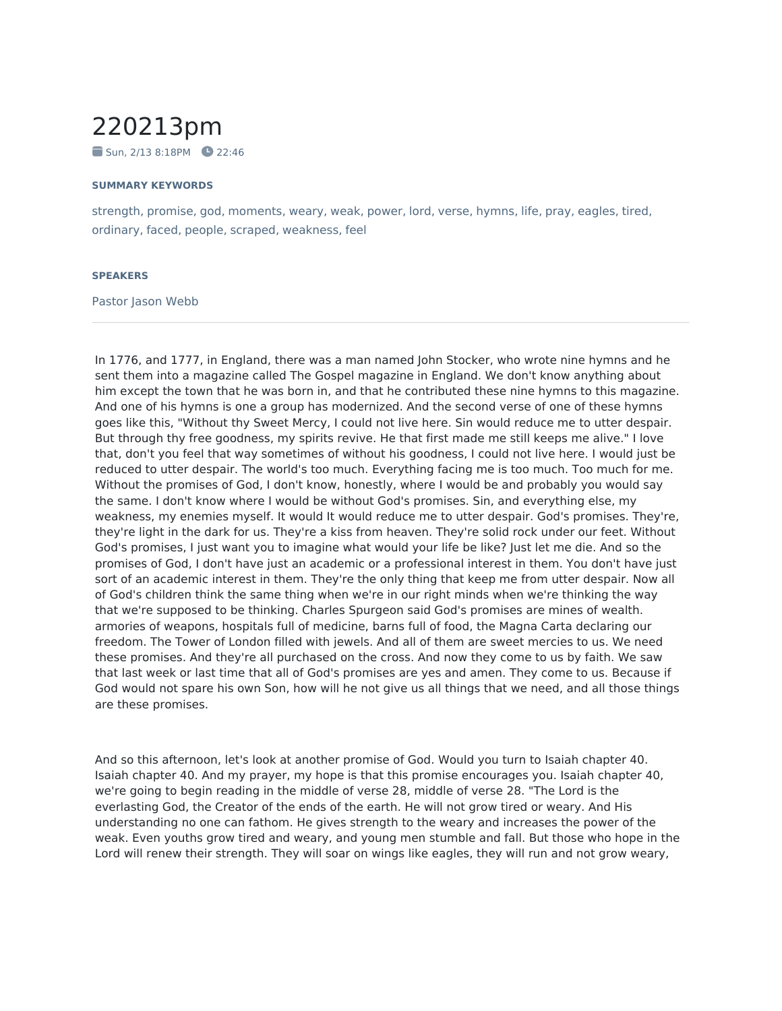## 220213pm

 $\blacksquare$  Sun, 2/13 8:18PM  $\enspace$  22:46

## **SUMMARY KEYWORDS**

strength, promise, god, moments, weary, weak, power, lord, verse, hymns, life, pray, eagles, tired, ordinary, faced, people, scraped, weakness, feel

## **SPEAKERS**

Pastor Jason Webb

In 1776, and 1777, in England, there was a man named John Stocker, who wrote nine hymns and he sent them into a magazine called The Gospel magazine in England. We don't know anything about him except the town that he was born in, and that he contributed these nine hymns to this magazine. And one of his hymns is one a group has modernized. And the second verse of one of these hymns goes like this, "Without thy Sweet Mercy, I could not live here. Sin would reduce me to utter despair. But through thy free goodness, my spirits revive. He that first made me still keeps me alive." I love that, don't you feel that way sometimes of without his goodness, I could not live here. I would just be reduced to utter despair. The world's too much. Everything facing me is too much. Too much for me. Without the promises of God, I don't know, honestly, where I would be and probably you would say the same. I don't know where I would be without God's promises. Sin, and everything else, my weakness, my enemies myself. It would It would reduce me to utter despair. God's promises. They're, they're light in the dark for us. They're a kiss from heaven. They're solid rock under our feet. Without God's promises, I just want you to imagine what would your life be like? Just let me die. And so the promises of God, I don't have just an academic or a professional interest in them. You don't have just sort of an academic interest in them. They're the only thing that keep me from utter despair. Now all of God's children think the same thing when we're in our right minds when we're thinking the way that we're supposed to be thinking. Charles Spurgeon said God's promises are mines of wealth. armories of weapons, hospitals full of medicine, barns full of food, the Magna Carta declaring our freedom. The Tower of London filled with jewels. And all of them are sweet mercies to us. We need these promises. And they're all purchased on the cross. And now they come to us by faith. We saw that last week or last time that all of God's promises are yes and amen. They come to us. Because if God would not spare his own Son, how will he not give us all things that we need, and all those things are these promises.

And so this afternoon, let's look at another promise of God. Would you turn to Isaiah chapter 40. Isaiah chapter 40. And my prayer, my hope is that this promise encourages you. Isaiah chapter 40, we're going to begin reading in the middle of verse 28, middle of verse 28. "The Lord is the everlasting God, the Creator of the ends of the earth. He will not grow tired or weary. And His understanding no one can fathom. He gives strength to the weary and increases the power of the weak. Even youths grow tired and weary, and young men stumble and fall. But those who hope in the Lord will renew their strength. They will soar on wings like eagles, they will run and not grow weary,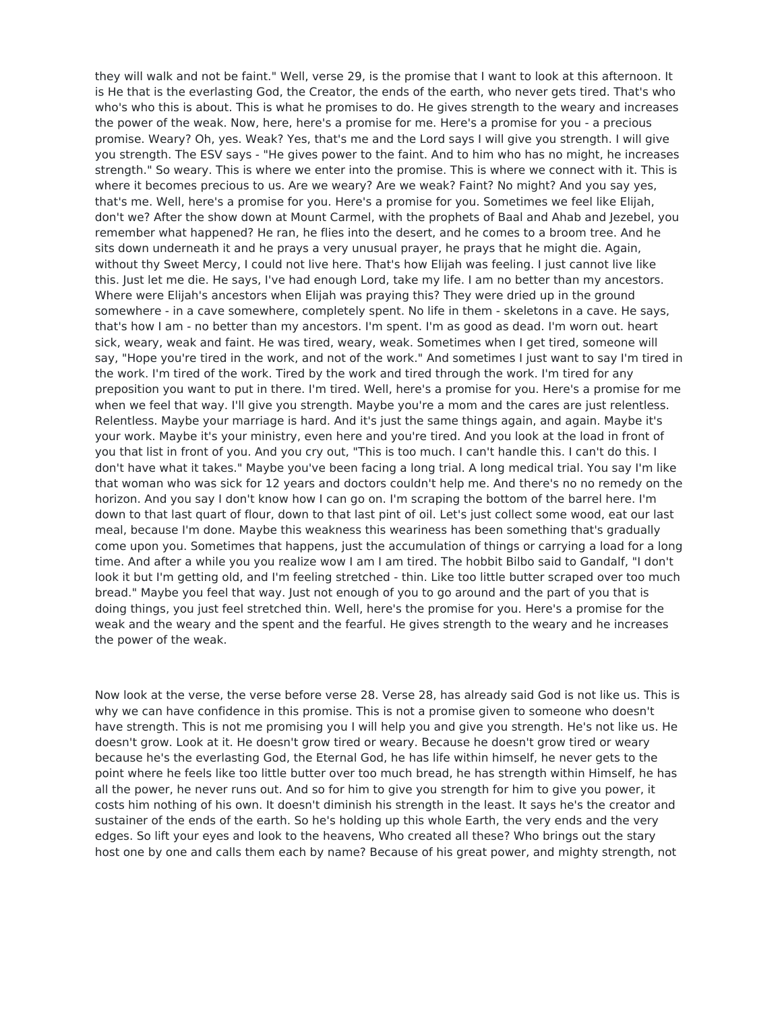they will walk and not be faint." Well, verse 29, is the promise that I want to look at this afternoon. It is He that is the everlasting God, the Creator, the ends of the earth, who never gets tired. That's who who's who this is about. This is what he promises to do. He gives strength to the weary and increases the power of the weak. Now, here, here's a promise for me. Here's a promise for you - a precious promise. Weary? Oh, yes. Weak? Yes, that's me and the Lord says I will give you strength. I will give you strength. The ESV says - "He gives power to the faint. And to him who has no might, he increases strength." So weary. This is where we enter into the promise. This is where we connect with it. This is where it becomes precious to us. Are we weary? Are we weak? Faint? No might? And you say yes, that's me. Well, here's a promise for you. Here's a promise for you. Sometimes we feel like Elijah, don't we? After the show down at Mount Carmel, with the prophets of Baal and Ahab and Jezebel, you remember what happened? He ran, he flies into the desert, and he comes to a broom tree. And he sits down underneath it and he prays a very unusual prayer, he prays that he might die. Again, without thy Sweet Mercy, I could not live here. That's how Elijah was feeling. I just cannot live like this. Just let me die. He says, I've had enough Lord, take my life. I am no better than my ancestors. Where were Elijah's ancestors when Elijah was praying this? They were dried up in the ground somewhere - in a cave somewhere, completely spent. No life in them - skeletons in a cave. He says, that's how Iam -no better than my ancestors. I'm spent. I'm as good as dead. I'm worn out. heart sick, weary, weak and faint. He was tired, weary, weak. Sometimes when I get tired, someone will say, "Hope you're tired in the work, and not of the work." And sometimes I just want to say I'm tired in the work. I'm tired of the work. Tired by the work and tired through the work. I'm tired for any preposition you want to put in there. I'm tired. Well, here's a promise for you. Here's a promise for me when we feel that way. I'll give you strength. Maybe you're a mom and the cares are just relentless. Relentless. Maybe your marriage is hard. And it's just the same things again, and again. Maybe it's your work. Maybe it's your ministry, even here and you're tired. And you look at the load in front of you that list in front of you. And you cry out, "This is too much. I can't handle this. I can't do this. I don't have what it takes." Maybe you've been facing a long trial. A long medical trial. You say I'm like that woman who was sick for 12 years and doctors couldn't help me. And there's no no remedy on the horizon. And you say I don't know how I can go on. I'm scraping the bottom of the barrel here. I'm down to that last quart of flour, down to that last pint of oil. Let's just collect some wood, eat our last meal, because I'm done. Maybe this weakness this weariness has been something that's gradually come upon you. Sometimes that happens, just the accumulation of things or carrying a load for a long time. And after a while you you realize wow Iam I am tired. The hobbit Bilbo said to Gandalf, "I don't look it but I'm getting old, and I'm feeling stretched - thin. Like too little butter scraped over too much bread." Maybe you feel that way. Just not enough of you to go around and the part of you that is doing things, you just feel stretched thin. Well, here's the promise for you. Here's a promise for the weak and the weary and the spent and the fearful. He gives strength to the weary and he increases the power of the weak.

Now look at the verse, the verse before verse 28. Verse 28, has already said God is not like us. This is why we can have confidence in this promise. This is not a promise given to someone who doesn't have strength. This is not me promising you I will help you and give you strength. He's not like us. He doesn't grow. Look at it. He doesn't grow tired or weary. Because he doesn't grow tired or weary because he's the everlasting God, the Eternal God, he has life within himself, he never gets to the point where he feels like too little butter over too much bread, he has strength within Himself, he has all the power, he never runs out. And so for him to give you strength for him to give you power, it costs him nothing of his own. It doesn't diminish his strength in the least. It says he's the creator and sustainer of the ends of the earth. So he's holding up this whole Earth, the very ends and the very edges. So lift your eyes and look to the heavens, Who created all these? Who brings out the stary host one by one and calls them each by name? Because of his great power, and mighty strength, not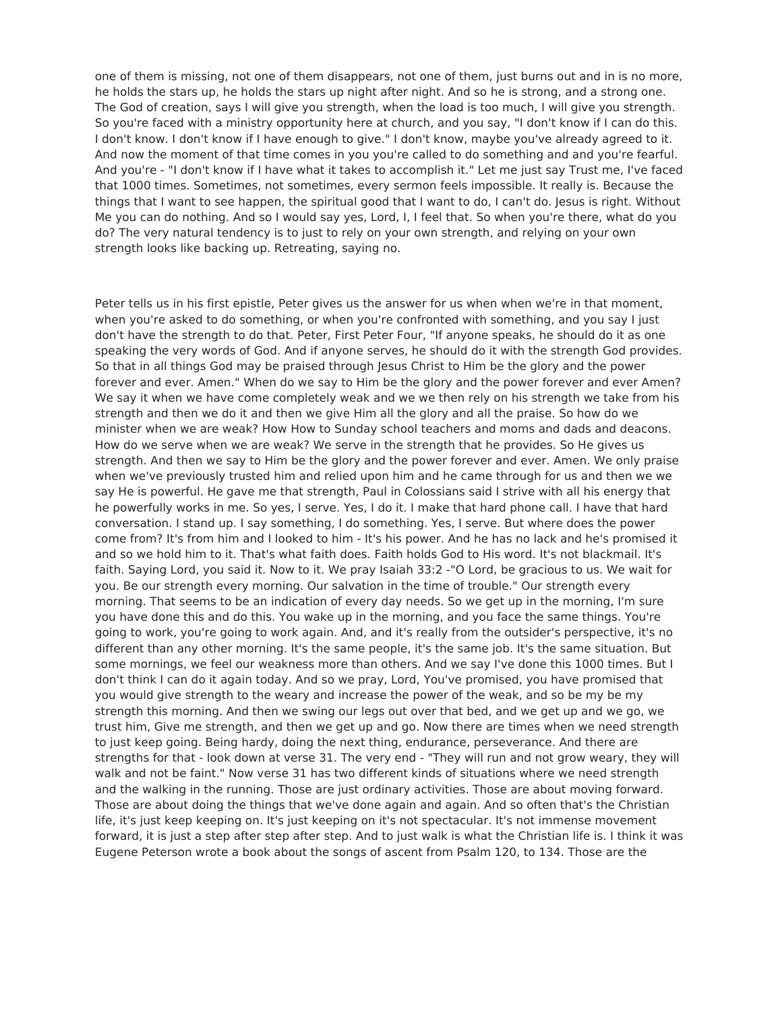one of them is missing, not one of them disappears, not one of them, just burns out and in is no more, he holds the stars up, he holds the stars up night after night. And so he is strong, and a strong one. The God of creation, says I will give you strength, when the load is too much, I will give you strength. So you're faced with a ministry opportunity here at church, and you say, "I don't know if I can do this. I don't know. I don't know if I have enough to give." I don't know, maybe you've already agreed to it. And now the moment of that time comes in you you're called to do something and and you're fearful. And you're - "I don't know if I have what it takes to accomplish it." Let me just say Trust me, I've faced that 1000 times. Sometimes, not sometimes, every sermon feels impossible. It really is. Because the things that I want to see happen, the spiritual good that I want to do, I can't do. Jesus is right. Without Me you can do nothing. And so I would say yes, Lord, I, I feel that. So when you're there, what do you do? The very natural tendency is to just to rely on your own strength, and relying on your own strength looks like backing up. Retreating, saying no.

Peter tells us in his first epistle, Peter gives us the answer for us when when we're in that moment, when you're asked to do something, or when you're confronted with something, and you say I just don't have the strength to do that. Peter, First Peter Four, "If anyone speaks, he should do it as one speaking the very words of God. And if anyone serves, he should do it with the strength God provides. So that in all things God may be praised through Jesus Christ to Him be the glory and the power forever and ever. Amen." When do we say to Him be the glory and the power forever and ever Amen? We say it when we have come completely weak and we we then rely on his strength we take from his strength and then we do it and then we give Him all the glory and all the praise. So how do we minister when we are weak? How How to Sunday school teachers and moms and dads and deacons. How do we serve when we are weak? We serve in the strength that he provides. So He gives us strength. And then we say to Him be the glory and the power forever and ever. Amen. We only praise when we've previously trusted him and relied upon him and he came through for us and then we we say He is powerful. He gave me that strength, Paul in Colossians said I strive with all his energy that he powerfully works in me. So yes, I serve. Yes, I do it. I make that hard phone call. I have that hard conversation. I stand up. I say something, I do something. Yes, I serve. But where does the power come from? It's from him and I looked to him - It's his power. And he has no lack and he's promised it and so we hold him to it. That's what faith does. Faith holds God to His word. It's not blackmail. It's faith. Saying Lord, you said it. Now to it. We pray Isaiah 33:2 -"O Lord, be gracious to us. We wait for you. Be our strength every morning. Our salvation in the time of trouble." Our strength every morning. That seems to be an indication of every day needs. So we get up in the morning, I'm sure you have done this and do this. You wake up in the morning, and you face the same things. You're going to work, you're going to work again. And, and it's really from the outsider's perspective, it's no different than any other morning. It's the same people, it's the same job. It's the same situation. But some mornings, we feel our weakness more than others. And we say I've done this 1000 times. But I don't think I can do it again today. And so we pray, Lord, You've promised, you have promised that you would give strength to the weary and increase the power of the weak, and so be my be my strength this morning. And then we swing our legs out over that bed, and we get up and we go, we trust him, Give me strength, and then we get up and go. Now there are times when we need strength to just keep going. Being hardy, doing the next thing, endurance, perseverance. And there are strengths for that - look down at verse 31. The very end - "They will run and not grow weary, they will walk and not be faint." Now verse 31 has two different kinds of situations where we need strength and the walking in the running. Those are just ordinary activities. Those are about moving forward. Those are about doing the things that we've done again and again. And so often that's the Christian life, it's just keep keeping on. It's just keeping on it's not spectacular. It's not immense movement forward, it is just a step after step after step. And to just walk is what the Christian life is. I think it was Eugene Peterson wrote a book about the songs of ascent from Psalm 120, to 134. Those are the